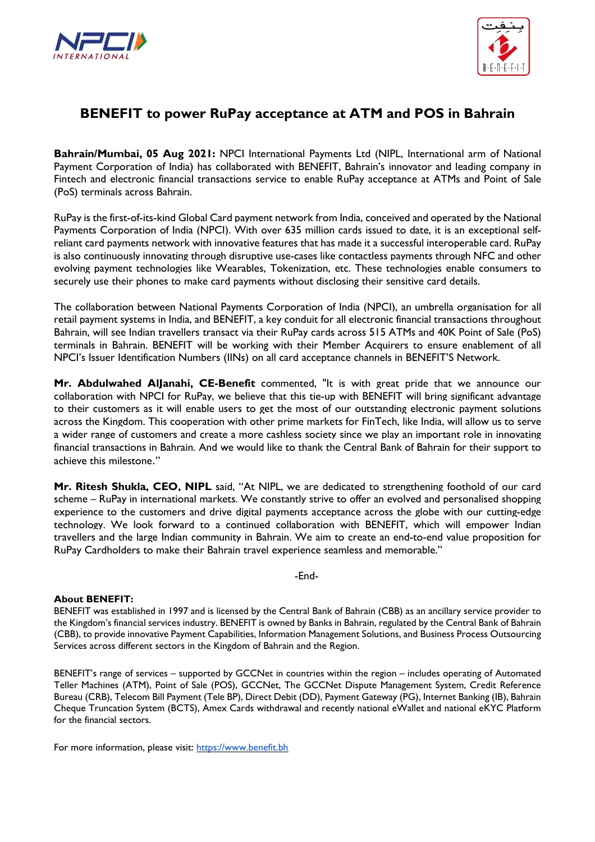



## **BENEFIT to power RuPay acceptance at ATM and POS in Bahrain**

**Bahrain/Mumbai, 05 Aug 2021:** NPCI International Payments Ltd (NIPL, International arm of National Payment Corporation of India) has collaborated with BENEFIT, Bahrain's innovator and leading company in Fintech and electronic financial transactions service to enable RuPay acceptance at ATMs and Point of Sale (PoS) terminals across Bahrain.

RuPay is the first-of-its-kind Global Card payment network from India, conceived and operated by the National Payments Corporation of India (NPCI). With over 635 million cards issued to date, it is an exceptional selfreliant card payments network with innovative features that has made it a successful interoperable card. RuPay is also continuously innovating through disruptive use-cases like contactless payments through NFC and other evolving payment technologies like Wearables, Tokenization, etc. These technologies enable consumers to securely use their phones to make card payments without disclosing their sensitive card details.

The collaboration between National Payments Corporation of India (NPCI), an umbrella organisation for all retail payment systems in India, and BENEFIT, a key conduit for all electronic financial transactions throughout Bahrain, will see Indian travellers transact via their RuPay cards across 515 ATMs and 40K Point of Sale (PoS) terminals in Bahrain. BENEFIT will be working with their Member Acquirers to ensure enablement of all NPCI's Issuer Identification Numbers (IINs) on all card acceptance channels in BENEFIT'S Network.

**Mr. Abdulwahed AlJanahi, CE-Benefit** commented, "It is with great pride that we announce our collaboration with NPCI for RuPay, we believe that this tie-up with BENEFIT will bring significant advantage to their customers as it will enable users to get the most of our outstanding electronic payment solutions across the Kingdom. This cooperation with other prime markets for FinTech, like India, will allow us to serve a wider range of customers and create a more cashless society since we play an important role in innovating financial transactions in Bahrain. And we would like to thank the Central Bank of Bahrain for their support to achieve this milestone."

**Mr. Ritesh Shukla, CEO, NIPL** said, "At NIPL, we are dedicated to strengthening foothold of our card scheme – RuPay in international markets. We constantly strive to offer an evolved and personalised shopping experience to the customers and drive digital payments acceptance across the globe with our cutting-edge technology. We look forward to a continued collaboration with BENEFIT, which will empower Indian travellers and the large Indian community in Bahrain. We aim to create an end-to-end value proposition for RuPay Cardholders to make their Bahrain travel experience seamless and memorable."

-End-

## **About BENEFIT:**

BENEFIT was established in 1997 and is licensed by the Central Bank of Bahrain (CBB) as an ancillary service provider to the Kingdom's financial services industry. BENEFIT is owned by Banks in Bahrain, regulated by the Central Bank of Bahrain (CBB), to provide innovative Payment Capabilities, Information Management Solutions, and Business Process Outsourcing Services across different sectors in the Kingdom of Bahrain and the Region.

BENEFIT's range of services – supported by GCCNet in countries within the region – includes operating of Automated Teller Machines (ATM), Point of Sale (POS), GCCNet, The GCCNet Dispute Management System, Credit Reference Bureau (CRB), Telecom Bill Payment (Tele BP), Direct Debit (DD), Payment Gateway (PG), Internet Banking (IB), Bahrain Cheque Truncation System (BCTS), Amex Cards withdrawal and recently national eWallet and national eKYC Platform for the financial sectors.

For more information, please visit: [https://www.benefit.bh](https://www.benefit.bh/)